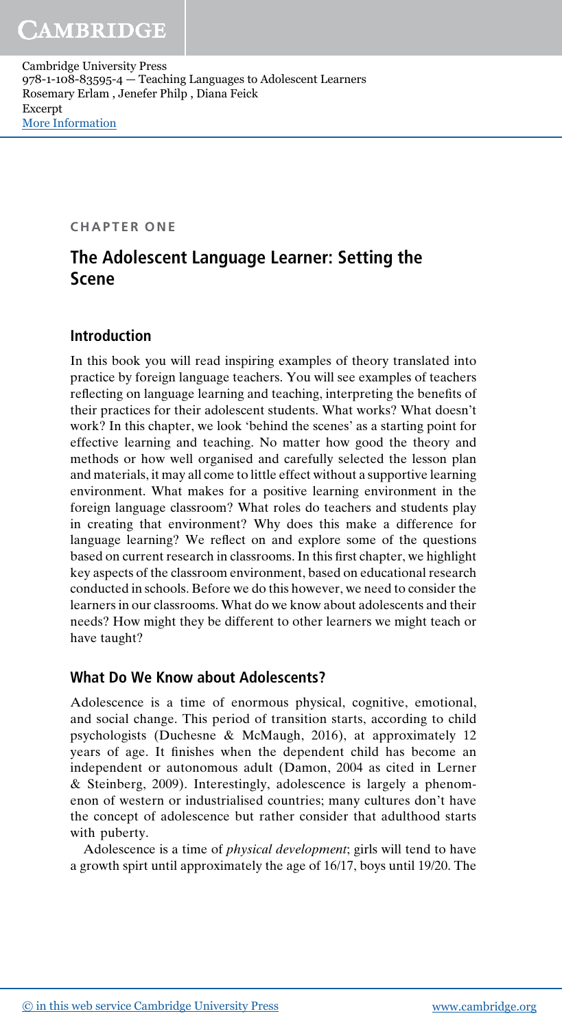CHAPTER ONE

# The Adolescent Language Learner: Setting the Scene

# Introduction

In this book you will read inspiring examples of theory translated into practice by foreign language teachers. You will see examples of teachers reflecting on language learning and teaching, interpreting the benefits of their practices for their adolescent students. What works? What doesn't work? In this chapter, we look 'behind the scenes' as a starting point for effective learning and teaching. No matter how good the theory and methods or how well organised and carefully selected the lesson plan and materials, it may all come to little effect without a supportive learning environment. What makes for a positive learning environment in the foreign language classroom? What roles do teachers and students play in creating that environment? Why does this make a difference for language learning? We reflect on and explore some of the questions based on current research in classrooms. In this first chapter, we highlight key aspects of the classroom environment, based on educational research conducted in schools. Before we do this however, we need to consider the learners in our classrooms. What do we know about adolescents and their needs? How might they be different to other learners we might teach or have taught?

# What Do We Know about Adolescents?

Adolescence is a time of enormous physical, cognitive, emotional, and social change. This period of transition starts, according to child psychologists (Duchesne & McMaugh, 2016), at approximately 12 years of age. It finishes when the dependent child has become an independent or autonomous adult (Damon, 2004 as cited in Lerner & Steinberg, 2009). Interestingly, adolescence is largely a phenomenon of western or industrialised countries; many cultures don't have the concept of adolescence but rather consider that adulthood starts with puberty.

Adolescence is a time of physical development; girls will tend to have a growth spirt until approximately the age of 16/17, boys until 19/20. The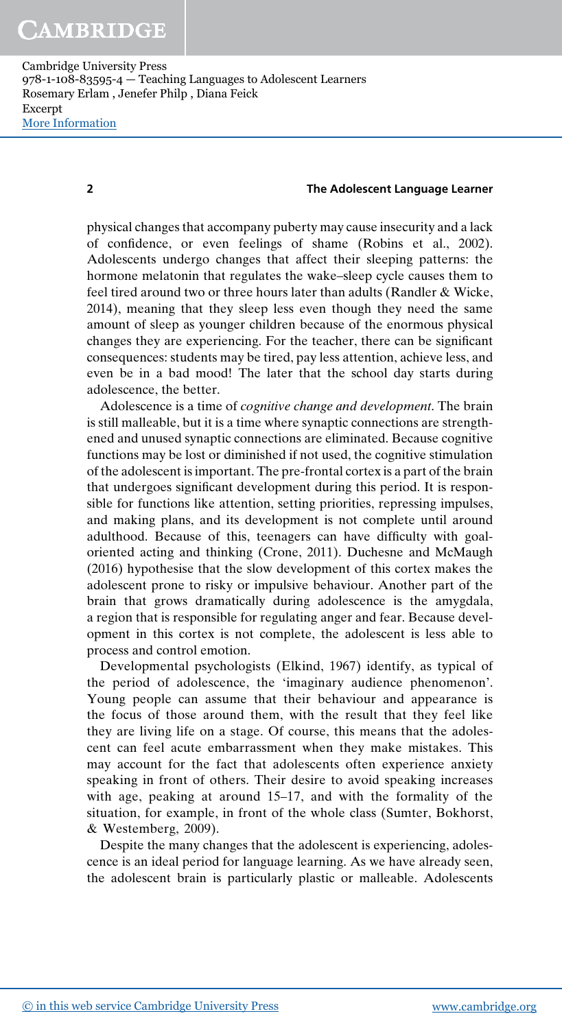#### 2 The Adolescent Language Learner

physical changes that accompany puberty may cause insecurity and a lack of confidence, or even feelings of shame (Robins et al., 2002). Adolescents undergo changes that affect their sleeping patterns: the hormone melatonin that regulates the wake–sleep cycle causes them to feel tired around two or three hours later than adults (Randler & Wicke, 2014), meaning that they sleep less even though they need the same amount of sleep as younger children because of the enormous physical changes they are experiencing. For the teacher, there can be significant consequences: students may be tired, pay less attention, achieve less, and even be in a bad mood! The later that the school day starts during adolescence, the better.

Adolescence is a time of cognitive change and development. The brain is still malleable, but it is a time where synaptic connections are strengthened and unused synaptic connections are eliminated. Because cognitive functions may be lost or diminished if not used, the cognitive stimulation of the adolescent is important. The pre-frontal cortex is a part of the brain that undergoes significant development during this period. It is responsible for functions like attention, setting priorities, repressing impulses, and making plans, and its development is not complete until around adulthood. Because of this, teenagers can have difficulty with goaloriented acting and thinking (Crone, 2011). Duchesne and McMaugh (2016) hypothesise that the slow development of this cortex makes the adolescent prone to risky or impulsive behaviour. Another part of the brain that grows dramatically during adolescence is the amygdala, a region that is responsible for regulating anger and fear. Because development in this cortex is not complete, the adolescent is less able to process and control emotion.

Developmental psychologists (Elkind, 1967) identify, as typical of the period of adolescence, the 'imaginary audience phenomenon'. Young people can assume that their behaviour and appearance is the focus of those around them, with the result that they feel like they are living life on a stage. Of course, this means that the adolescent can feel acute embarrassment when they make mistakes. This may account for the fact that adolescents often experience anxiety speaking in front of others. Their desire to avoid speaking increases with age, peaking at around 15–17, and with the formality of the situation, for example, in front of the whole class (Sumter, Bokhorst, & Westemberg, 2009).

Despite the many changes that the adolescent is experiencing, adolescence is an ideal period for language learning. As we have already seen, the adolescent brain is particularly plastic or malleable. Adolescents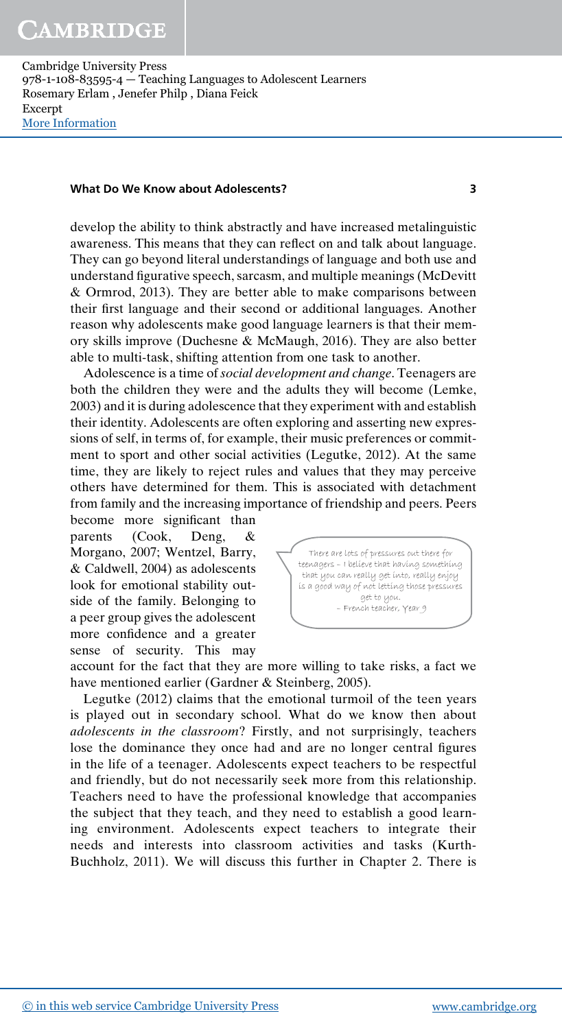#### What Do We Know about Adolescents? 3

develop the ability to think abstractly and have increased metalinguistic awareness. This means that they can reflect on and talk about language. They can go beyond literal understandings of language and both use and understand figurative speech, sarcasm, and multiple meanings (McDevitt & Ormrod, 2013). They are better able to make comparisons between their first language and their second or additional languages. Another reason why adolescents make good language learners is that their memory skills improve (Duchesne & McMaugh, 2016). They are also better able to multi-task, shifting attention from one task to another.

Adolescence is a time of social development and change. Teenagers are both the children they were and the adults they will become (Lemke, 2003) and it is during adolescence that they experiment with and establish their identity. Adolescents are often exploring and asserting new expressions of self, in terms of, for example, their music preferences or commitment to sport and other social activities (Legutke, 2012). At the same time, they are likely to reject rules and values that they may perceive others have determined for them. This is associated with detachment from family and the increasing importance of friendship and peers. Peers

become more significant than parents (Cook, Deng, & Morgano, 2007; Wentzel, Barry, & Caldwell, 2004) as adolescents look for emotional stability outside of the family. Belonging to a peer group gives the adolescent more confidence and a greater sense of security. This may



account for the fact that they are more willing to take risks, a fact we have mentioned earlier (Gardner & Steinberg, 2005).

Legutke (2012) claims that the emotional turmoil of the teen years is played out in secondary school. What do we know then about adolescents in the classroom? Firstly, and not surprisingly, teachers lose the dominance they once had and are no longer central figures in the life of a teenager. Adolescents expect teachers to be respectful and friendly, but do not necessarily seek more from this relationship. Teachers need to have the professional knowledge that accompanies the subject that they teach, and they need to establish a good learning environment. Adolescents expect teachers to integrate their needs and interests into classroom activities and tasks (Kurth-Buchholz, 2011). We will discuss this further in Chapter 2. There is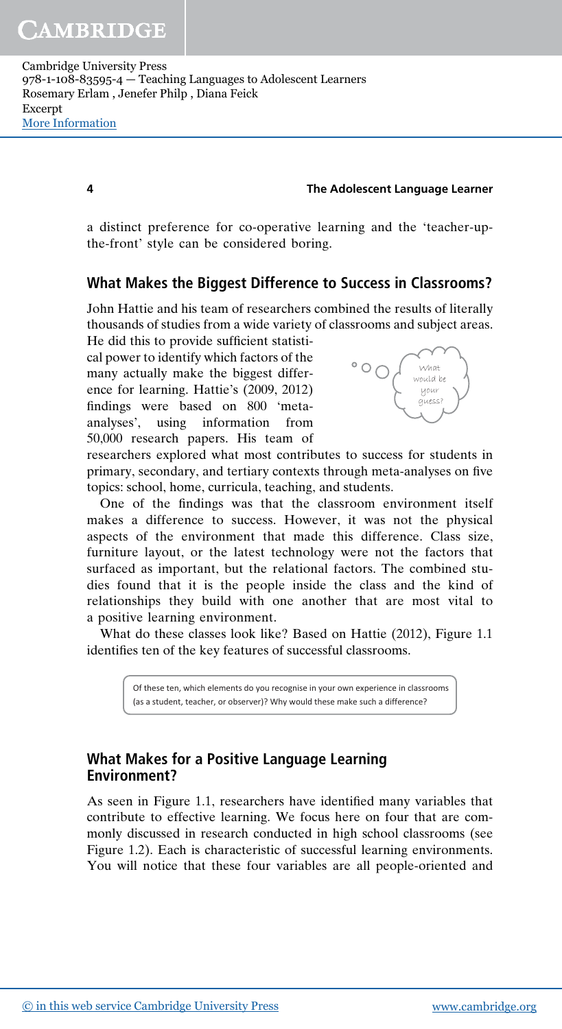#### 4 The Adolescent Language Learner

a distinct preference for co-operative learning and the 'teacher-upthe-front' style can be considered boring.

## What Makes the Biggest Difference to Success in Classrooms?

John Hattie and his team of researchers combined the results of literally thousands of studies from a wide variety of classrooms and subject areas.

He did this to provide sufficient statistical power to identify which factors of the many actually make the biggest difference for learning. Hattie's (2009, 2012) findings were based on 800 'metaanalyses', using information from 50,000 research papers. His team of



researchers explored what most contributes to success for students in primary, secondary, and tertiary contexts through meta-analyses on five topics: school, home, curricula, teaching, and students.

One of the findings was that the classroom environment itself makes a difference to success. However, it was not the physical aspects of the environment that made this difference. Class size, furniture layout, or the latest technology were not the factors that surfaced as important, but the relational factors. The combined studies found that it is the people inside the class and the kind of relationships they build with one another that are most vital to a positive learning environment.

What do these classes look like? Based on Hattie (2012), Figure 1.1 identifies ten of the key features of successful classrooms.

> Of these ten, which elements do you recognise in your own experience in classrooms (as a student, teacher, or observer)? Why would these make such a difference?

# What Makes for a Positive Language Learning Environment?

As seen in Figure 1.1, researchers have identified many variables that contribute to effective learning. We focus here on four that are commonly discussed in research conducted in high school classrooms (see Figure 1.2). Each is characteristic of successful learning environments. You will notice that these four variables are all people-oriented and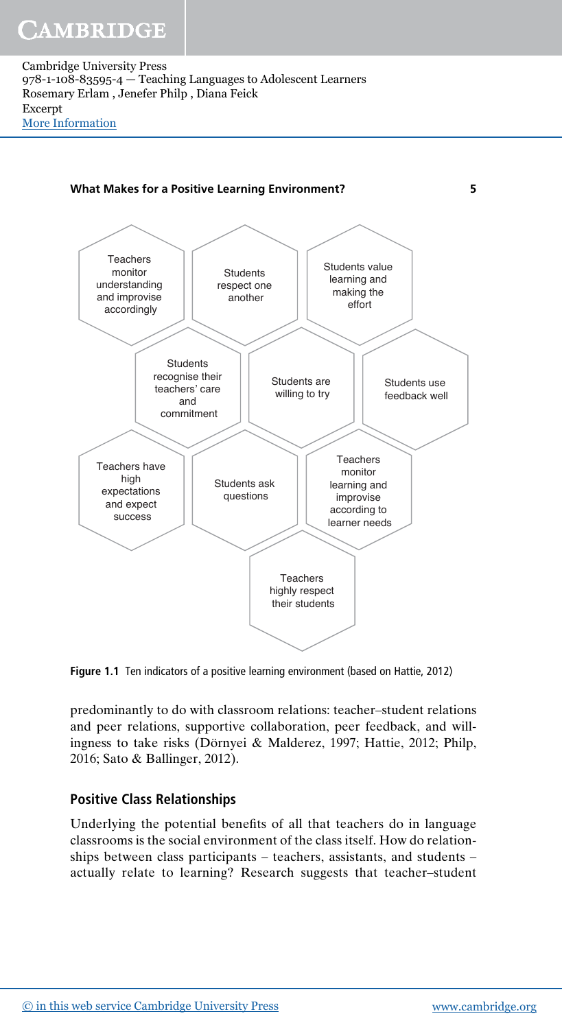

Figure 1.1 Ten indicators of a positive learning environment (based on Hattie, 2012)

predominantly to do with classroom relations: teacher–student relations and peer relations, supportive collaboration, peer feedback, and willingness to take risks (Dörnyei & Malderez, 1997; Hattie, 2012; Philp, 2016; Sato & Ballinger, 2012).

# Positive Class Relationships

Underlying the potential benefits of all that teachers do in language classrooms is the social environment of the class itself. How do relationships between class participants – teachers, assistants, and students – actually relate to learning? Research suggests that teacher–student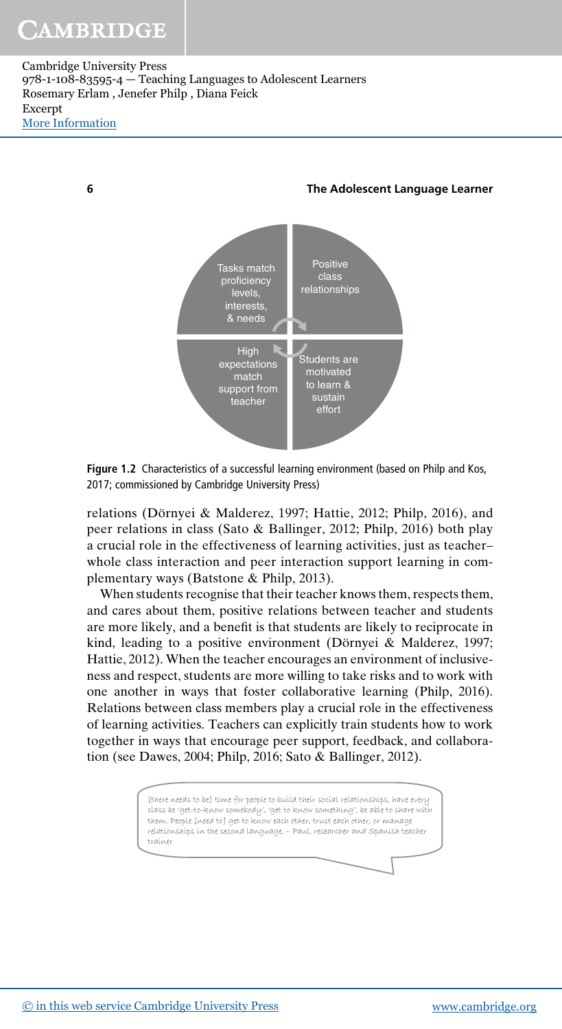# CAMBRIDGE

Cambridge University Press 978-1-108-83595-4 — Teaching Languages to Adolescent Learners Rosemary Erlam , Jenefer Philp , Diana Feick Excerpt [More Information](www.cambridge.org/9781108835954)



6 The Adolescent Language Learner

Figure 1.2 Characteristics of a successful learning environment (based on Philp and Kos, 2017; commissioned by Cambridge University Press)

relations (Dörnyei & Malderez, 1997; Hattie, 2012; Philp, 2016), and peer relations in class (Sato & Ballinger, 2012; Philp, 2016) both play a crucial role in the effectiveness of learning activities, just as teacher– whole class interaction and peer interaction support learning in complementary ways (Batstone & Philp, 2013).

When students recognise that their teacher knows them, respects them, and cares about them, positive relations between teacher and students are more likely, and a benefit is that students are likely to reciprocate in kind, leading to a positive environment (Dörnyei & Malderez, 1997; Hattie, 2012). When the teacher encourages an environment of inclusiveness and respect, students are more willing to take risks and to work with one another in ways that foster collaborative learning (Philp, 2016). Relations between class members play a crucial role in the effectiveness of learning activities. Teachers can explicitly train students how to work together in ways that encourage peer support, feedback, and collaboration (see Dawes, 2004; Philp, 2016; Sato & Ballinger, 2012).

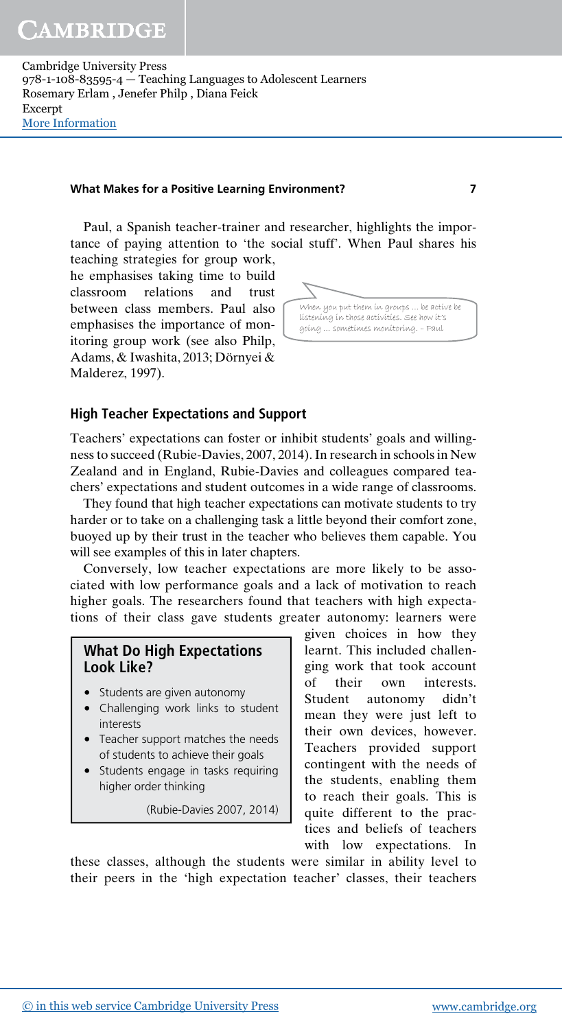#### What Makes for a Positive Learning Environment? 7

Paul, a Spanish teacher-trainer and researcher, highlights the importance of paying attention to 'the social stuff'. When Paul shares his

teaching strategies for group work, he emphasises taking time to build classroom relations and trust between class members. Paul also emphasises the importance of monitoring group work (see also Philp, Adams, & Iwashita, 2013; Dörnyei & Malderez, 1997).



### High Teacher Expectations and Support

Teachers' expectations can foster or inhibit students' goals and willingness to succeed (Rubie-Davies, 2007, 2014). In research in schools in New Zealand and in England, Rubie-Davies and colleagues compared teachers' expectations and student outcomes in a wide range of classrooms.

They found that high teacher expectations can motivate students to try harder or to take on a challenging task a little beyond their comfort zone, buoyed up by their trust in the teacher who believes them capable. You will see examples of this in later chapters.

Conversely, low teacher expectations are more likely to be associated with low performance goals and a lack of motivation to reach higher goals. The researchers found that teachers with high expectations of their class gave students greater autonomy: learners were

### What Do High Expectations Look Like?

- Students are given autonomy
- Challenging work links to student interests
- Teacher support matches the needs of students to achieve their goals
- Students engage in tasks requiring higher order thinking

(Rubie-Davies 2007, 2014)

given choices in how they learnt. This included challenging work that took account of their own interests. Student autonomy didn't mean they were just left to their own devices, however. Teachers provided support contingent with the needs of the students, enabling them to reach their goals. This is quite different to the practices and beliefs of teachers with low expectations. In

these classes, although the students were similar in ability level to their peers in the 'high expectation teacher' classes, their teachers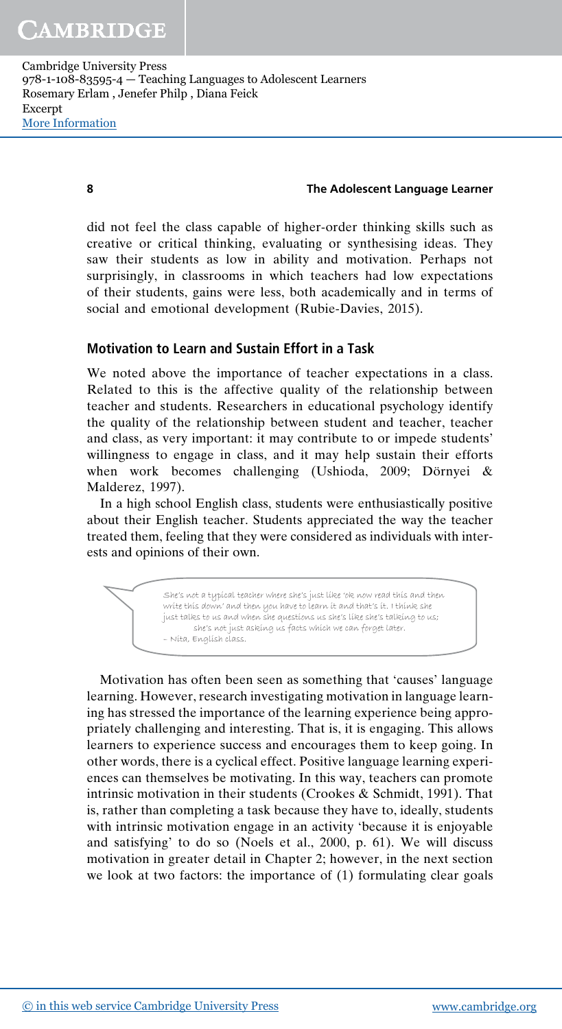#### 8 The Adolescent Language Learner

did not feel the class capable of higher-order thinking skills such as creative or critical thinking, evaluating or synthesising ideas. They saw their students as low in ability and motivation. Perhaps not surprisingly, in classrooms in which teachers had low expectations of their students, gains were less, both academically and in terms of social and emotional development (Rubie-Davies, 2015).

#### Motivation to Learn and Sustain Effort in a Task

We noted above the importance of teacher expectations in a class. Related to this is the affective quality of the relationship between teacher and students. Researchers in educational psychology identify the quality of the relationship between student and teacher, teacher and class, as very important: it may contribute to or impede students' willingness to engage in class, and it may help sustain their efforts when work becomes challenging (Ushioda, 2009; Dörnyei & Malderez, 1997).

In a high school English class, students were enthusiastically positive about their English teacher. Students appreciated the way the teacher treated them, feeling that they were considered as individuals with interests and opinions of their own.

> She's not a typical teacher where she's just like 'ok now read this and then write this down' and then you have to learn it and that's it. I think she just talks to us and when she questions us she's like she's talking to us; she's not just asking us facts which we can forget later. – Nita, English class.

Motivation has often been seen as something that 'causes' language learning. However, research investigating motivation in language learning has stressed the importance of the learning experience being appropriately challenging and interesting. That is, it is engaging. This allows learners to experience success and encourages them to keep going. In other words, there is a cyclical effect. Positive language learning experiences can themselves be motivating. In this way, teachers can promote intrinsic motivation in their students (Crookes & Schmidt, 1991). That is, rather than completing a task because they have to, ideally, students with intrinsic motivation engage in an activity 'because it is enjoyable and satisfying' to do so (Noels et al., 2000, p. 61). We will discuss motivation in greater detail in Chapter 2; however, in the next section we look at two factors: the importance of (1) formulating clear goals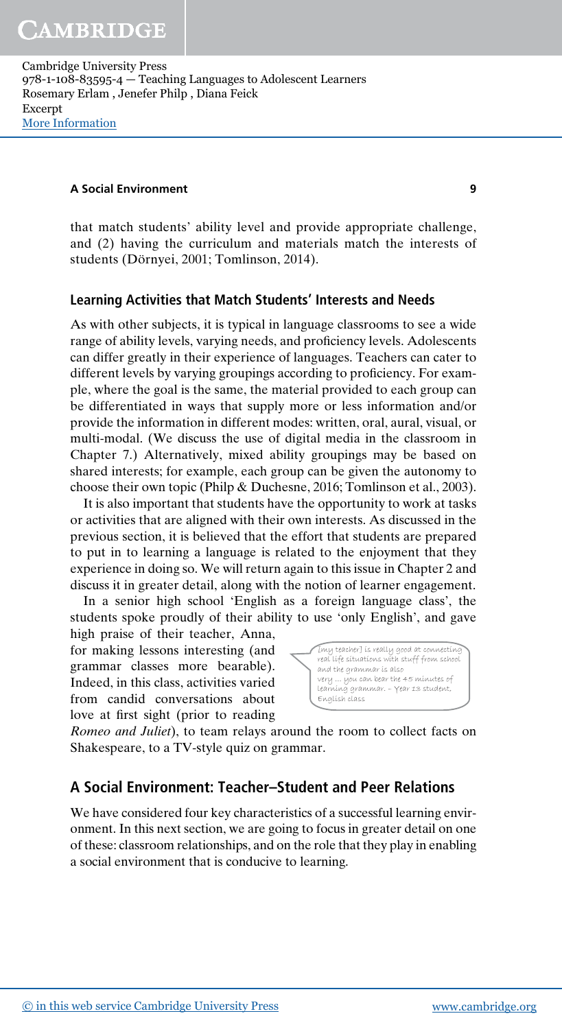#### A Social Environment 9

that match students' ability level and provide appropriate challenge, and (2) having the curriculum and materials match the interests of students (Dörnyei, 2001; Tomlinson, 2014).

#### Learning Activities that Match Students' Interests and Needs

As with other subjects, it is typical in language classrooms to see a wide range of ability levels, varying needs, and proficiency levels. Adolescents can differ greatly in their experience of languages. Teachers can cater to different levels by varying groupings according to proficiency. For example, where the goal is the same, the material provided to each group can be differentiated in ways that supply more or less information and/or provide the information in different modes: written, oral, aural, visual, or multi-modal. (We discuss the use of digital media in the classroom in Chapter 7.) Alternatively, mixed ability groupings may be based on shared interests; for example, each group can be given the autonomy to choose their own topic (Philp & Duchesne, 2016; Tomlinson et al., 2003).

It is also important that students have the opportunity to work at tasks or activities that are aligned with their own interests. As discussed in the previous section, it is believed that the effort that students are prepared to put in to learning a language is related to the enjoyment that they experience in doing so. We will return again to this issue in Chapter 2 and discuss it in greater detail, along with the notion of learner engagement.

In a senior high school 'English as a foreign language class', the students spoke proudly of their ability to use 'only English', and gave

high praise of their teacher, Anna, for making lessons interesting (and grammar classes more bearable). Indeed, in this class, activities varied from candid conversations about love at first sight (prior to reading



Romeo and Juliet), to team relays around the room to collect facts on Shakespeare, to a TV-style quiz on grammar.

# A Social Environment: Teacher–Student and Peer Relations

We have considered four key characteristics of a successful learning environment. In this next section, we are going to focus in greater detail on one of these: classroom relationships, and on the role that they play in enabling a social environment that is conducive to learning.